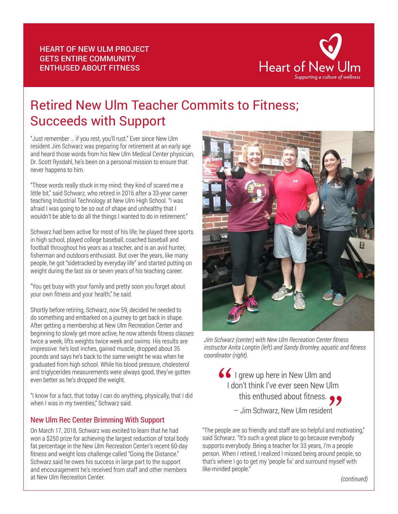

## Retired New Ulm Teacher Commits to Fitness; Succeeds with Support

"Just remember … if you rest, you'll rust." Ever since New Ulm resident Jim Schwarz was preparing for retirement at an early age and heard those words from his New Ulm Medical Center physician, Dr. Scott Rysdahl, he's been on a personal mission to ensure that never happens to him.

"Those words really stuck in my mind; they kind of scared me a little bit," said Schwarz, who retired in 2016 after a 33-year career teaching Industrial Technology at New Ulm High School. "I was afraid I was going to be so out of shape and unhealthy that I wouldn't be able to do all the things I wanted to do in retirement."

Schwarz had been active for most of his life; he played three sports in high school, played college baseball, coached baseball and football throughout his years as a teacher, and is an avid hunter, fisherman and outdoors enthusiast. But over the years, like many people, he got "sidetracked by everyday life" and started putting on weight during the last six or seven years of his teaching career.

"You get busy with your family and pretty soon you forget about your own fitness and your health," he said.

Shortly before retiring, Schwarz, now 59, decided he needed to do something and embarked on a journey to get back in shape. After getting a membership at New Ulm Recreation Center and beginning to slowly get more active, he now attends fitness classes twice a week, lifts weights twice week and swims. His results are impressive: he's lost inches, gained muscle, dropped about 35 pounds and says he's back to the same weight he was when he graduated from high school. While his blood pressure, cholesterol and triglycerides measurements were always good, they've gotten even better as he's dropped the weight.

"I know for a fact, that today I can do anything, physically, that I did when I was in my twenties," Schwarz said.

## New Ulm Rec Center Brimming With Support

On March 17, 2018, Schwarz was excited to learn that he had won a \$250 prize for achieving the largest reduction of total body fat percentage in the New Ulm Recreation Center's recent 60-day fitness and weight loss challenge called "Going the Distance." Schwarz said he owes his success in large part to the support and encouragement he's received from staff and other members at New Ulm Recreation Center.



*Jim Schwarz (center) with New Ulm Recreation Center fitness instructor Anita Longtin (left) and Sandy Bromley, aquatic and fitness coordinator (right).*

I grew up here in New Ulm and I don't think I've ever seen New Ulm this enthused about fitness.  $\bullet$ — Jim Schwarz, New Ulm resident  $\begin{aligned} \mathbf{S} \mathbf{S} \mathbf{I} \text{ grew up here in New Ulm and} \\ \mathbf{I} \text{ don't think l've ever seen New Ulm} \\ \text{this enthused about fitness.} \mathbf{S} \mathbf{S} \end{aligned}$ 

"The people are so friendly and staff are so helpful and motivating," said Schwarz. "It's such a great place to go because everybody supports everybody. Being a teacher for 33 years, I'm a people person. When I retired, I realized I missed being around people, so that's where I go to get my 'people fix' and surround myself with like-minded people."

*(continued)*